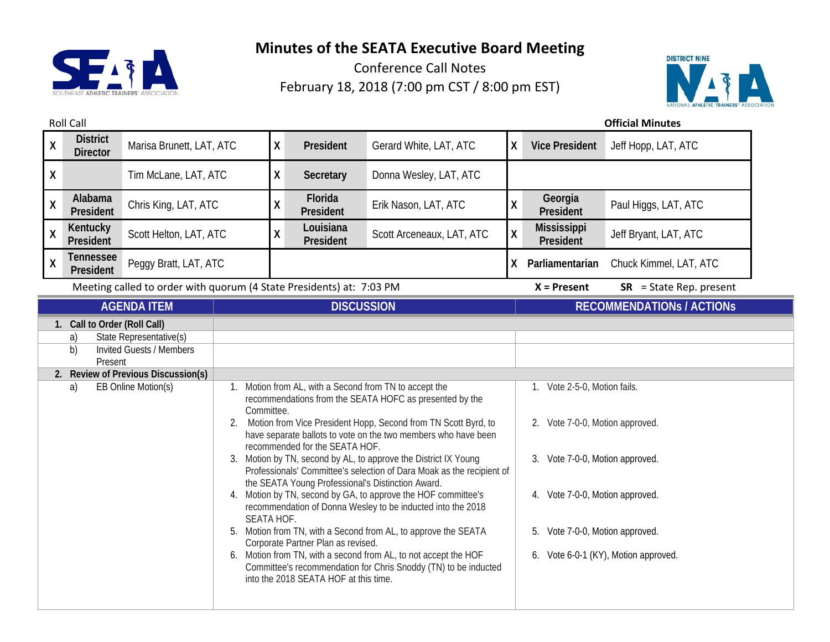



| <b>Roll Call</b>                                                                                                                                                                      |                                    |                                                                      |                                            |              |                                                                                                                                                                    |                                                                                                                                                                                                                                                                                                                                                                                                                                                                                                                                                                                                                                                                                                                                  | <b>Official Minutes</b> |                                                                                                                                                                                |                                      |  |
|---------------------------------------------------------------------------------------------------------------------------------------------------------------------------------------|------------------------------------|----------------------------------------------------------------------|--------------------------------------------|--------------|--------------------------------------------------------------------------------------------------------------------------------------------------------------------|----------------------------------------------------------------------------------------------------------------------------------------------------------------------------------------------------------------------------------------------------------------------------------------------------------------------------------------------------------------------------------------------------------------------------------------------------------------------------------------------------------------------------------------------------------------------------------------------------------------------------------------------------------------------------------------------------------------------------------|-------------------------|--------------------------------------------------------------------------------------------------------------------------------------------------------------------------------|--------------------------------------|--|
| $\mathsf{X}$                                                                                                                                                                          | <b>District</b><br><b>Director</b> | Marisa Brunett, LAT, ATC                                             |                                            | X            | President                                                                                                                                                          | Gerard White, LAT, ATC                                                                                                                                                                                                                                                                                                                                                                                                                                                                                                                                                                                                                                                                                                           | χ                       | <b>Vice President</b>                                                                                                                                                          | Jeff Hopp, LAT, ATC                  |  |
| X                                                                                                                                                                                     |                                    | Tim McLane, LAT, ATC                                                 |                                            | X            | Secretary                                                                                                                                                          | Donna Wesley, LAT, ATC                                                                                                                                                                                                                                                                                                                                                                                                                                                                                                                                                                                                                                                                                                           |                         |                                                                                                                                                                                |                                      |  |
| $\mathsf{X}$                                                                                                                                                                          | Alabama<br>President               | Chris King, LAT, ATC                                                 |                                            | $\mathsf{X}$ | Florida<br>President                                                                                                                                               | Erik Nason, LAT, ATC                                                                                                                                                                                                                                                                                                                                                                                                                                                                                                                                                                                                                                                                                                             | χ                       | Georgia<br>President                                                                                                                                                           | Paul Higgs, LAT, ATC                 |  |
| X                                                                                                                                                                                     | Kentucky<br>President              | Scott Helton, LAT, ATC                                               |                                            | χ            | Louisiana<br>President                                                                                                                                             | Scott Arceneaux, LAT, ATC                                                                                                                                                                                                                                                                                                                                                                                                                                                                                                                                                                                                                                                                                                        | χ                       | Mississippi<br>President                                                                                                                                                       | Jeff Bryant, LAT, ATC                |  |
| $\mathsf{X}$                                                                                                                                                                          | <b>Tennessee</b><br>President      | Peggy Bratt, LAT, ATC                                                |                                            |              |                                                                                                                                                                    |                                                                                                                                                                                                                                                                                                                                                                                                                                                                                                                                                                                                                                                                                                                                  | X.                      | Parliamentarian                                                                                                                                                                | Chuck Kimmel, LAT, ATC               |  |
|                                                                                                                                                                                       |                                    | Meeting called to order with quorum (4 State Presidents) at: 7:03 PM |                                            |              |                                                                                                                                                                    |                                                                                                                                                                                                                                                                                                                                                                                                                                                                                                                                                                                                                                                                                                                                  |                         | $X =$ Present                                                                                                                                                                  | $SR = State Rep. present$            |  |
|                                                                                                                                                                                       |                                    | <b>AGENDA ITEM</b>                                                   | <b>DISCUSSION</b>                          |              |                                                                                                                                                                    |                                                                                                                                                                                                                                                                                                                                                                                                                                                                                                                                                                                                                                                                                                                                  |                         | <b>RECOMMENDATIONS / ACTIONS</b>                                                                                                                                               |                                      |  |
| 1. Call to Order (Roll Call)<br>State Representative(s)<br>a)<br>b)<br><b>Invited Guests / Members</b><br>Present<br>2. Review of Previous Discussion(s)<br>EB Online Motion(s)<br>a) |                                    |                                                                      | Committee.<br>2.<br>3.<br>SEATA HOF.<br>5. |              | recommended for the SEATA HOF.<br>the SEATA Young Professional's Distinction Award.<br>Corporate Partner Plan as revised.<br>into the 2018 SEATA HOF at this time. | Motion from AL, with a Second from TN to accept the<br>recommendations from the SEATA HOFC as presented by the<br>Motion from Vice President Hopp, Second from TN Scott Byrd, to<br>have separate ballots to vote on the two members who have been<br>Motion by TN, second by AL, to approve the District IX Young<br>Professionals' Committee's selection of Dara Moak as the recipient of<br>4. Motion by TN, second by GA, to approve the HOF committee's<br>recommendation of Donna Wesley to be inducted into the 2018<br>Motion from TN, with a Second from AL, to approve the SEATA<br>6. Motion from TN, with a second from AL, to not accept the HOF<br>Committee's recommendation for Chris Snoddy (TN) to be inducted |                         | 1. Vote 2-5-0, Motion fails.<br>2. Vote 7-0-0, Motion approved.<br>Vote 7-0-0, Motion approved.<br>3.<br>4. Vote 7-0-0, Motion approved.<br>Vote 7-0-0, Motion approved.<br>5. | 6. Vote 6-0-1 (KY), Motion approved. |  |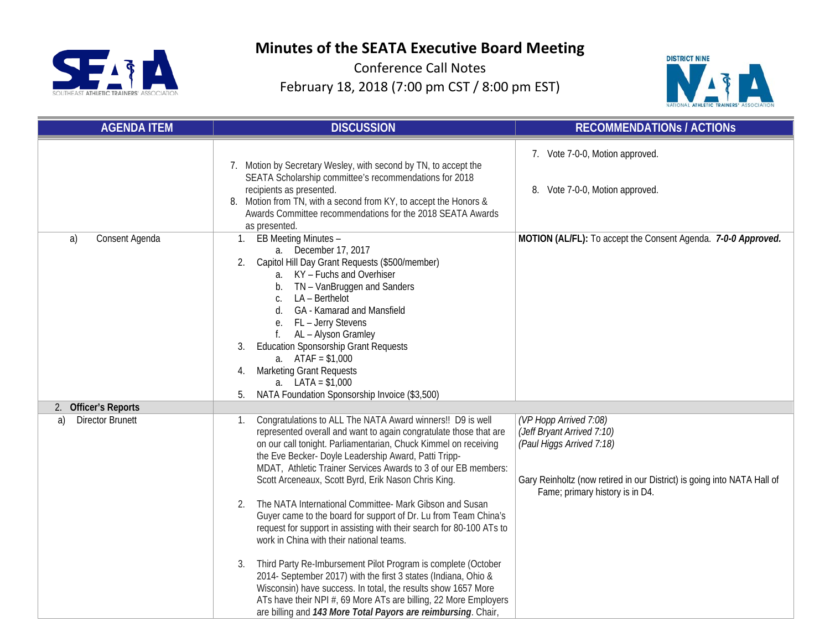



| <b>AGENDA ITEM</b>            | <b>DISCUSSION</b>                                                                                                                                                                                                                                                                                                                                                                                                                                                                                                                                                                                                                                                                                                                                                                                                                                                                                                                                                                                | <b>RECOMMENDATIONS / ACTIONS</b>                                                                                                                                                                |
|-------------------------------|--------------------------------------------------------------------------------------------------------------------------------------------------------------------------------------------------------------------------------------------------------------------------------------------------------------------------------------------------------------------------------------------------------------------------------------------------------------------------------------------------------------------------------------------------------------------------------------------------------------------------------------------------------------------------------------------------------------------------------------------------------------------------------------------------------------------------------------------------------------------------------------------------------------------------------------------------------------------------------------------------|-------------------------------------------------------------------------------------------------------------------------------------------------------------------------------------------------|
|                               | 7. Motion by Secretary Wesley, with second by TN, to accept the<br>SEATA Scholarship committee's recommendations for 2018<br>recipients as presented.<br>Motion from TN, with a second from KY, to accept the Honors &<br>8.<br>Awards Committee recommendations for the 2018 SEATA Awards<br>as presented.                                                                                                                                                                                                                                                                                                                                                                                                                                                                                                                                                                                                                                                                                      | 7. Vote 7-0-0, Motion approved.<br>8. Vote 7-0-0, Motion approved.                                                                                                                              |
| Consent Agenda<br>a)          | EB Meeting Minutes -<br>1.<br>a. December 17, 2017<br>Capitol Hill Day Grant Requests (\$500/member)<br>a. KY - Fuchs and Overhiser<br>TN - VanBruggen and Sanders<br>LA - Berthelot<br>C.<br><b>GA</b> - Kamarad and Mansfield<br>d.<br>FL - Jerry Stevens<br>е.<br>AL - Alyson Gramley<br><b>Education Sponsorship Grant Requests</b><br>3.<br>a. $ATAF = $1,000$<br><b>Marketing Grant Requests</b><br>4.<br>a. $LATA = $1,000$<br>NATA Foundation Sponsorship Invoice (\$3,500)<br>5.                                                                                                                                                                                                                                                                                                                                                                                                                                                                                                        | MOTION (AL/FL): To accept the Consent Agenda. 7-0-0 Approved.                                                                                                                                   |
| 2. Officer's Reports          |                                                                                                                                                                                                                                                                                                                                                                                                                                                                                                                                                                                                                                                                                                                                                                                                                                                                                                                                                                                                  |                                                                                                                                                                                                 |
| a)<br><b>Director Brunett</b> | Congratulations to ALL The NATA Award winners!! D9 is well<br>1.<br>represented overall and want to again congratulate those that are<br>on our call tonight. Parliamentarian, Chuck Kimmel on receiving<br>the Eve Becker- Doyle Leadership Award, Patti Tripp-<br>MDAT, Athletic Trainer Services Awards to 3 of our EB members:<br>Scott Arceneaux, Scott Byrd, Erik Nason Chris King.<br>The NATA International Committee- Mark Gibson and Susan<br>2.<br>Guyer came to the board for support of Dr. Lu from Team China's<br>request for support in assisting with their search for 80-100 ATs to<br>work in China with their national teams.<br>Third Party Re-Imbursement Pilot Program is complete (October<br>3.<br>2014- September 2017) with the first 3 states (Indiana, Ohio &<br>Wisconsin) have success. In total, the results show 1657 More<br>ATs have their NPI #, 69 More ATs are billing, 22 More Employers<br>are billing and 143 More Total Payors are reimbursing. Chair, | (VP Hopp Arrived 7:08)<br>(Jeff Bryant Arrived 7:10)<br>(Paul Higgs Arrived 7:18)<br>Gary Reinholtz (now retired in our District) is going into NATA Hall of<br>Fame; primary history is in D4. |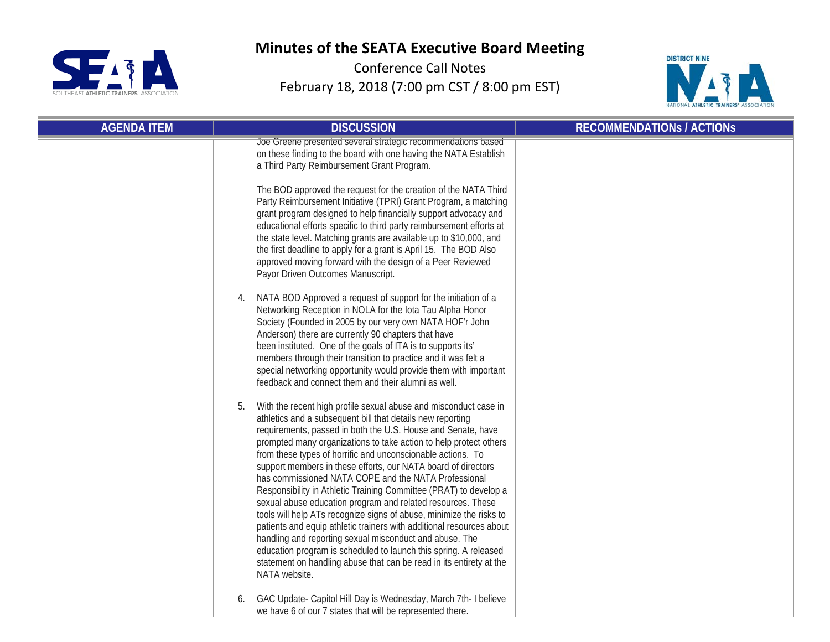



| <b>AGENDA ITEM</b> | <b>DISCUSSION</b>                                                                                                                                                                                                                                                                                                                                                                                                                                                                                                                                                                                                                                                                                                                                                                                                                                                                                                                                                           | <b>RECOMMENDATIONS / ACTIONS</b> |
|--------------------|-----------------------------------------------------------------------------------------------------------------------------------------------------------------------------------------------------------------------------------------------------------------------------------------------------------------------------------------------------------------------------------------------------------------------------------------------------------------------------------------------------------------------------------------------------------------------------------------------------------------------------------------------------------------------------------------------------------------------------------------------------------------------------------------------------------------------------------------------------------------------------------------------------------------------------------------------------------------------------|----------------------------------|
|                    | Joe Greene presented several strategic recommendations based<br>on these finding to the board with one having the NATA Establish<br>a Third Party Reimbursement Grant Program.                                                                                                                                                                                                                                                                                                                                                                                                                                                                                                                                                                                                                                                                                                                                                                                              |                                  |
|                    | The BOD approved the request for the creation of the NATA Third<br>Party Reimbursement Initiative (TPRI) Grant Program, a matching<br>grant program designed to help financially support advocacy and<br>educational efforts specific to third party reimbursement efforts at<br>the state level. Matching grants are available up to \$10,000, and<br>the first deadline to apply for a grant is April 15. The BOD Also<br>approved moving forward with the design of a Peer Reviewed<br>Payor Driven Outcomes Manuscript.                                                                                                                                                                                                                                                                                                                                                                                                                                                 |                                  |
|                    | NATA BOD Approved a request of support for the initiation of a<br>Networking Reception in NOLA for the lota Tau Alpha Honor<br>Society (Founded in 2005 by our very own NATA HOF'r John<br>Anderson) there are currently 90 chapters that have<br>been instituted. One of the goals of ITA is to supports its'<br>members through their transition to practice and it was felt a<br>special networking opportunity would provide them with important<br>feedback and connect them and their alumni as well.                                                                                                                                                                                                                                                                                                                                                                                                                                                                 |                                  |
|                    | With the recent high profile sexual abuse and misconduct case in<br>5.<br>athletics and a subsequent bill that details new reporting<br>requirements, passed in both the U.S. House and Senate, have<br>prompted many organizations to take action to help protect others<br>from these types of horrific and unconscionable actions. To<br>support members in these efforts, our NATA board of directors<br>has commissioned NATA COPE and the NATA Professional<br>Responsibility in Athletic Training Committee (PRAT) to develop a<br>sexual abuse education program and related resources. These<br>tools will help ATs recognize signs of abuse, minimize the risks to<br>patients and equip athletic trainers with additional resources about<br>handling and reporting sexual misconduct and abuse. The<br>education program is scheduled to launch this spring. A released<br>statement on handling abuse that can be read in its entirety at the<br>NATA website. |                                  |
|                    | GAC Update- Capitol Hill Day is Wednesday, March 7th- I believe<br>we have 6 of our 7 states that will be represented there.                                                                                                                                                                                                                                                                                                                                                                                                                                                                                                                                                                                                                                                                                                                                                                                                                                                |                                  |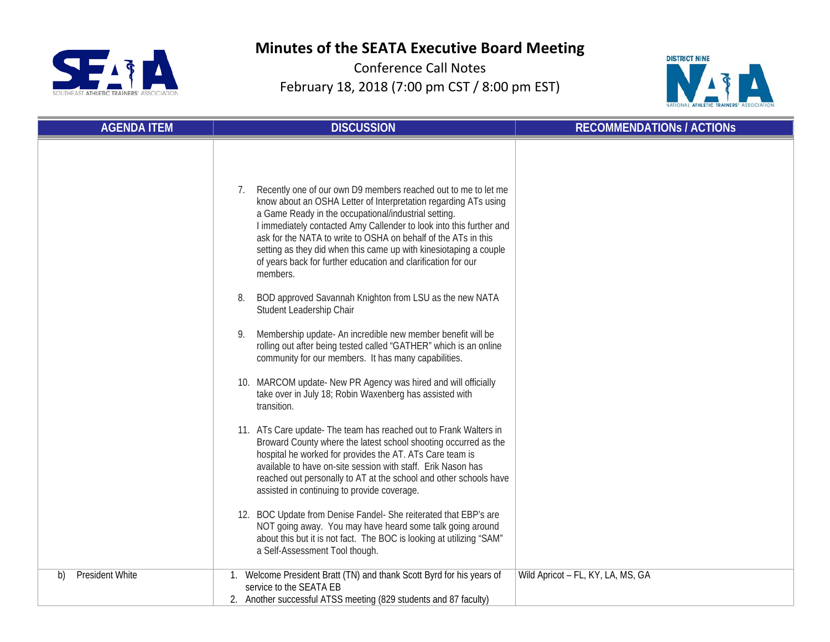



| <b>AGENDA ITEM</b>    | <b>DISCUSSION</b>                                                                                                                                                                                                                                                                                                                                                                                                                                                                                                                                                                                                                                                                                                                                                                                                                                                                                                                                                                                                                                                                                                                                                                                                                                                                                                                                                                                                                                                                                                                | <b>RECOMMENDATIONS / ACTIONS</b>  |
|-----------------------|----------------------------------------------------------------------------------------------------------------------------------------------------------------------------------------------------------------------------------------------------------------------------------------------------------------------------------------------------------------------------------------------------------------------------------------------------------------------------------------------------------------------------------------------------------------------------------------------------------------------------------------------------------------------------------------------------------------------------------------------------------------------------------------------------------------------------------------------------------------------------------------------------------------------------------------------------------------------------------------------------------------------------------------------------------------------------------------------------------------------------------------------------------------------------------------------------------------------------------------------------------------------------------------------------------------------------------------------------------------------------------------------------------------------------------------------------------------------------------------------------------------------------------|-----------------------------------|
|                       | Recently one of our own D9 members reached out to me to let me<br>know about an OSHA Letter of Interpretation regarding ATs using<br>a Game Ready in the occupational/industrial setting.<br>I immediately contacted Amy Callender to look into this further and<br>ask for the NATA to write to OSHA on behalf of the ATs in this<br>setting as they did when this came up with kinesiotaping a couple<br>of years back for further education and clarification for our<br>members.<br>BOD approved Savannah Knighton from LSU as the new NATA<br>8.<br>Student Leadership Chair<br>Membership update- An incredible new member benefit will be<br>9.<br>rolling out after being tested called "GATHER" which is an online<br>community for our members. It has many capabilities.<br>10. MARCOM update- New PR Agency was hired and will officially<br>take over in July 18; Robin Waxenberg has assisted with<br>transition.<br>11. ATs Care update- The team has reached out to Frank Walters in<br>Broward County where the latest school shooting occurred as the<br>hospital he worked for provides the AT. ATs Care team is<br>available to have on-site session with staff. Erik Nason has<br>reached out personally to AT at the school and other schools have<br>assisted in continuing to provide coverage.<br>12. BOC Update from Denise Fandel- She reiterated that EBP's are<br>NOT going away. You may have heard some talk going around<br>about this but it is not fact. The BOC is looking at utilizing "SAM" |                                   |
| President White<br>b) | a Self-Assessment Tool though.<br>1. Welcome President Bratt (TN) and thank Scott Byrd for his years of                                                                                                                                                                                                                                                                                                                                                                                                                                                                                                                                                                                                                                                                                                                                                                                                                                                                                                                                                                                                                                                                                                                                                                                                                                                                                                                                                                                                                          | Wild Apricot - FL, KY, LA, MS, GA |
|                       | service to the SEATA EB<br>2. Another successful ATSS meeting (829 students and 87 faculty)                                                                                                                                                                                                                                                                                                                                                                                                                                                                                                                                                                                                                                                                                                                                                                                                                                                                                                                                                                                                                                                                                                                                                                                                                                                                                                                                                                                                                                      |                                   |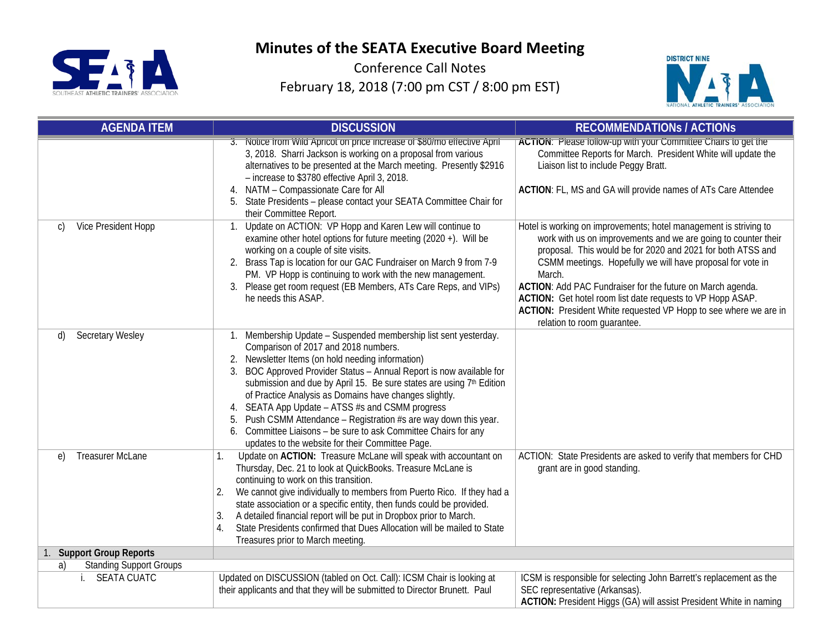



| <b>AGENDA ITEM</b>                                         | <b>DISCUSSION</b>                                                                                                                                                                                                                                                                                                                                                                                                                                                                                                                                                                                                                              | <b>RECOMMENDATIONS / ACTIONS</b>                                                                                                                                                                                                                                                                                                                                                                                                                                                                          |
|------------------------------------------------------------|------------------------------------------------------------------------------------------------------------------------------------------------------------------------------------------------------------------------------------------------------------------------------------------------------------------------------------------------------------------------------------------------------------------------------------------------------------------------------------------------------------------------------------------------------------------------------------------------------------------------------------------------|-----------------------------------------------------------------------------------------------------------------------------------------------------------------------------------------------------------------------------------------------------------------------------------------------------------------------------------------------------------------------------------------------------------------------------------------------------------------------------------------------------------|
|                                                            | 3. Notice from Wild Apricot on price increase of \$80/mo effective April<br>3, 2018. Sharri Jackson is working on a proposal from various<br>alternatives to be presented at the March meeting. Presently \$2916<br>- increase to \$3780 effective April 3, 2018.<br>NATM - Compassionate Care for All<br>4.<br>State Presidents - please contact your SEATA Committee Chair for<br>their Committee Report.                                                                                                                                                                                                                                    | ACTION: Please follow-up with your Committee Chairs to get the<br>Committee Reports for March. President White will update the<br>Liaison list to include Peggy Bratt.<br>ACTION: FL, MS and GA will provide names of ATs Care Attendee                                                                                                                                                                                                                                                                   |
| Vice President Hopp<br>$\mathcal{C}$                       | Update on ACTION: VP Hopp and Karen Lew will continue to<br>1.<br>examine other hotel options for future meeting (2020 +). Will be<br>working on a couple of site visits.<br>2. Brass Tap is location for our GAC Fundraiser on March 9 from 7-9<br>PM. VP Hopp is continuing to work with the new management.<br>Please get room request (EB Members, ATs Care Reps, and VIPs)<br>3.<br>he needs this ASAP.                                                                                                                                                                                                                                   | Hotel is working on improvements; hotel management is striving to<br>work with us on improvements and we are going to counter their<br>proposal. This would be for 2020 and 2021 for both ATSS and<br>CSMM meetings. Hopefully we will have proposal for vote in<br>March.<br>ACTION: Add PAC Fundraiser for the future on March agenda.<br>ACTION: Get hotel room list date requests to VP Hopp ASAP.<br>ACTION: President White requested VP Hopp to see where we are in<br>relation to room guarantee. |
| Secretary Wesley<br>d)                                     | Membership Update - Suspended membership list sent yesterday.<br>Comparison of 2017 and 2018 numbers.<br>Newsletter Items (on hold needing information)<br>2.<br>BOC Approved Provider Status - Annual Report is now available for<br>3 <sub>1</sub><br>submission and due by April 15. Be sure states are using 7th Edition<br>of Practice Analysis as Domains have changes slightly.<br>SEATA App Update - ATSS #s and CSMM progress<br>4.<br>Push CSMM Attendance - Registration #s are way down this year.<br>5.<br>Committee Liaisons - be sure to ask Committee Chairs for any<br>6.<br>updates to the website for their Committee Page. |                                                                                                                                                                                                                                                                                                                                                                                                                                                                                                           |
| <b>Treasurer McLane</b><br>$\epsilon$                      | Update on ACTION: Treasure McLane will speak with accountant on<br>1.<br>Thursday, Dec. 21 to look at QuickBooks. Treasure McLane is<br>continuing to work on this transition.<br>We cannot give individually to members from Puerto Rico. If they had a<br>2.<br>state association or a specific entity, then funds could be provided.<br>A detailed financial report will be put in Dropbox prior to March.<br>3.<br>State Presidents confirmed that Dues Allocation will be mailed to State<br>4.<br>Treasures prior to March meeting.                                                                                                      | ACTION: State Presidents are asked to verify that members for CHD<br>grant are in good standing.                                                                                                                                                                                                                                                                                                                                                                                                          |
| 1. Support Group Reports<br><b>Standing Support Groups</b> |                                                                                                                                                                                                                                                                                                                                                                                                                                                                                                                                                                                                                                                |                                                                                                                                                                                                                                                                                                                                                                                                                                                                                                           |
| a)<br>i. SEATA CUATC                                       | Updated on DISCUSSION (tabled on Oct. Call): ICSM Chair is looking at<br>their applicants and that they will be submitted to Director Brunett. Paul                                                                                                                                                                                                                                                                                                                                                                                                                                                                                            | ICSM is responsible for selecting John Barrett's replacement as the<br>SEC representative (Arkansas).<br>ACTION: President Higgs (GA) will assist President White in naming                                                                                                                                                                                                                                                                                                                               |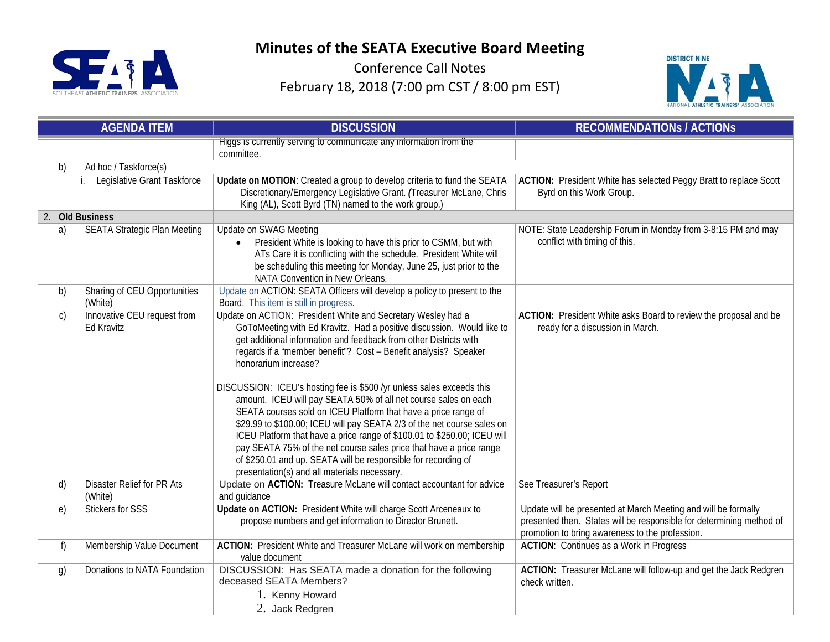



| <b>AGENDA ITEM</b> |                                           | <b>DISCUSSION</b>                                                                                                                                                                                                                                                                                                                                                                                                                                                                                                                                                                                                                                                                                                                                                                                                                                                   | <b>RECOMMENDATIONS / ACTIONS</b>                                                                                                                                                          |
|--------------------|-------------------------------------------|---------------------------------------------------------------------------------------------------------------------------------------------------------------------------------------------------------------------------------------------------------------------------------------------------------------------------------------------------------------------------------------------------------------------------------------------------------------------------------------------------------------------------------------------------------------------------------------------------------------------------------------------------------------------------------------------------------------------------------------------------------------------------------------------------------------------------------------------------------------------|-------------------------------------------------------------------------------------------------------------------------------------------------------------------------------------------|
|                    |                                           | Higgs is currently serving to communicate any information from the<br>committee.                                                                                                                                                                                                                                                                                                                                                                                                                                                                                                                                                                                                                                                                                                                                                                                    |                                                                                                                                                                                           |
| b)                 | Ad hoc / Taskforce(s)                     |                                                                                                                                                                                                                                                                                                                                                                                                                                                                                                                                                                                                                                                                                                                                                                                                                                                                     |                                                                                                                                                                                           |
|                    | Legislative Grant Taskforce<br>i.         | Update on MOTION: Created a group to develop criteria to fund the SEATA<br>Discretionary/Emergency Legislative Grant. (Treasurer McLane, Chris<br>King (AL), Scott Byrd (TN) named to the work group.)                                                                                                                                                                                                                                                                                                                                                                                                                                                                                                                                                                                                                                                              | ACTION: President White has selected Peggy Bratt to replace Scott<br>Byrd on this Work Group.                                                                                             |
|                    | 2. Old Business                           |                                                                                                                                                                                                                                                                                                                                                                                                                                                                                                                                                                                                                                                                                                                                                                                                                                                                     |                                                                                                                                                                                           |
| a)                 | <b>SEATA Strategic Plan Meeting</b>       | Update on SWAG Meeting<br>President White is looking to have this prior to CSMM, but with<br>ATs Care it is conflicting with the schedule. President White will<br>be scheduling this meeting for Monday, June 25, just prior to the<br>NATA Convention in New Orleans.                                                                                                                                                                                                                                                                                                                                                                                                                                                                                                                                                                                             | NOTE: State Leadership Forum in Monday from 3-8:15 PM and may<br>conflict with timing of this.                                                                                            |
| b)                 | Sharing of CEU Opportunities<br>(White)   | Update on ACTION: SEATA Officers will develop a policy to present to the<br>Board. This item is still in progress.                                                                                                                                                                                                                                                                                                                                                                                                                                                                                                                                                                                                                                                                                                                                                  |                                                                                                                                                                                           |
| $\mathsf{C}$       | Innovative CEU request from<br>Ed Kravitz | Update on ACTION: President White and Secretary Wesley had a<br>GoToMeeting with Ed Kravitz. Had a positive discussion. Would like to<br>get additional information and feedback from other Districts with<br>regards if a "member benefit"? Cost - Benefit analysis? Speaker<br>honorarium increase?<br>DISCUSSION: ICEU's hosting fee is \$500 /yr unless sales exceeds this<br>amount. ICEU will pay SEATA 50% of all net course sales on each<br>SEATA courses sold on ICEU Platform that have a price range of<br>\$29.99 to \$100.00; ICEU will pay SEATA 2/3 of the net course sales on<br>ICEU Platform that have a price range of \$100.01 to \$250.00; ICEU will<br>pay SEATA 75% of the net course sales price that have a price range<br>of \$250.01 and up. SEATA will be responsible for recording of<br>presentation(s) and all materials necessary. | ACTION: President White asks Board to review the proposal and be<br>ready for a discussion in March.                                                                                      |
| d)                 | Disaster Relief for PR Ats<br>(White)     | Update on ACTION: Treasure McLane will contact accountant for advice<br>and guidance                                                                                                                                                                                                                                                                                                                                                                                                                                                                                                                                                                                                                                                                                                                                                                                | See Treasurer's Report                                                                                                                                                                    |
| e)                 | <b>Stickers for SSS</b>                   | Update on ACTION: President White will charge Scott Arceneaux to<br>propose numbers and get information to Director Brunett.                                                                                                                                                                                                                                                                                                                                                                                                                                                                                                                                                                                                                                                                                                                                        | Update will be presented at March Meeting and will be formally<br>presented then. States will be responsible for determining method of<br>promotion to bring awareness to the profession. |
| f)                 | Membership Value Document                 | ACTION: President White and Treasurer McLane will work on membership<br>value document                                                                                                                                                                                                                                                                                                                                                                                                                                                                                                                                                                                                                                                                                                                                                                              | <b>ACTION:</b> Continues as a Work in Progress                                                                                                                                            |
| $\mathfrak{g}$     | Donations to NATA Foundation              | DISCUSSION: Has SEATA made a donation for the following<br>deceased SEATA Members?<br>1. Kenny Howard<br>2. Jack Redgren                                                                                                                                                                                                                                                                                                                                                                                                                                                                                                                                                                                                                                                                                                                                            | ACTION: Treasurer McLane will follow-up and get the Jack Redgren<br>check written.                                                                                                        |